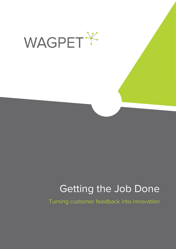

# Getting the Job Done

Turning customer feedback into innovation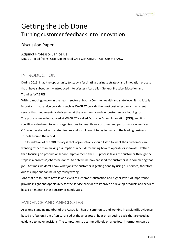## Getting the Job Done Turning customer feedback into innovation

Discussion Paper

#### Adjunct Professor Janice Bell

MBBS BA B Ed (Hons) Grad Dip Int Med Grad Cert CHM GAICD FCHSM FRACGP

### INTRODUCTION

During 2016, I had the opportunity to study a fascinating business strategy and innovation process that I have subsequently introduced into Western Australian General Practice Education and Training (WAGPET).

With so much going on in the health sector at both a Commonwealth and state level, it is critically important that service providers such as WAGPET provide the most cost effective and efficient service that fundamentally delivers what the community and our customers are looking for. The process we've introduced at WAGPET is called Outcome Driven Innovation (ODI), and it is specifically designed to assist organisations to meet those customer and performance objectives. ODI was developed in the late nineties and is still taught today in many of the leading business schools around the world.

The foundation of the ODI theory is that organisations should listen to what their customers are wanting rather than making assumptions when determining how to operate or innovate. Rather than focusing on product or service improvement, the ODI process takes the customer through the steps in a process ("jobs to be done") to determine how satisfied the customer is in completing that job. At times we don't know what jobs the customer is getting done by using our service, therefore our assumptions can be dangerously wrong.

Jobs that are found to have lower levels of customer satisfaction and higher levels of importance provide insight and opportunity for the service provider to improve or develop products and services based on meeting those customer needs gaps.

### EVIDENCE AND ANECDOTES

As a long-standing member of the Australian health community and working in a scientific evidencebased profession, I am often surprised at the anecdotes I hear on a routine basis that are used as evidence to make decisions. The temptation to act immediately on anecdotal information can be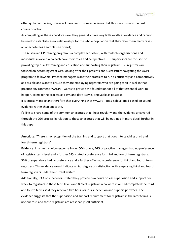often quite compelling, however I have learnt from experience that this is not usually the best course of action.

As compelling as these anecdotes are, they generally have very little worth as evidence and cannot be used to establish causal relationships for the whole population that they refer to (in many cases an anecdote has a sample size of n=1).

The Australian GP training program is a complex ecosystem, with multiple organisations and individuals involved who each have their roles and perspectives. GP supervisors are focused on providing top quality training and education and supporting their registrars. GP registrars are focused on becoming great GPs, looking after their patients and successfully navigating the AGPT program to fellowship. Practice managers want their practices to run as efficiently and competitively as possible and want to ensure they are employing registrars who are going to fit in well in that practice environment. WAGPET wants to provide the foundation for all of that essential work to happen, to make the process as easy, and dare I say it, enjoyable as possible.

It is critically important therefore that everything that WAGPET does is developed based on sound evidence rather than anecdote.

I'd like to share some of the common anecdotes that I hear regularly and the evidence uncovered through the ODI process in relation to those anecdotes that will be outlined in more detail further in this paper:

**Anecdote**: "There is no recognition of the training and support that goes into teaching third and fourth term registrars"

**Evidence**: In a multi choice response in our ODI survey, 46% of practice managers had no preference of registrar term level and a further 69% stated a preference for third and fourth term registrars. 56% of supervisors had no preference and a further 44% had a preference for third and fourth term registrars. This evidence would indicate a high degree of satisfaction with employing third and fourth term registrars under the current system.

Additionally, 93% of supervisors stated they provide two hours or less supervision and support per week to registrars in these term levels and 83% of registrars who were in or had completed the third and fourth terms said they received two hours or less supervision and support per week. The evidence suggests that the supervision and support requirement for registrars in the later terms is not onerous and these registrars are reasonably self-sufficient.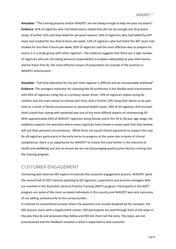

**Anecdote**: "The training practice and/or WAGPET are not doing enough to help me pass my exams" **Evidence**: 42% of registrars who had failed exams stated they did not do enough out-of-practice study. A further 32% said they failed for personal reasons. 54% of registrars who had failed the KFP exam had studied for less than 6 hours per week. 52% of registrars who had failed the AKT exam had studied for less than 6 hours per week. 83% of registrars said the most effective way to prepare for exams is in a study group with other registrars. The evidence suggests that there are a high number of registrars who are not taking personal responsibility to prepare adequately to pass their exams, and for those that do, the most effective means of preparation sits outside of the practice or WAGPET environment.

**Anecdote**: "Full time education for my part time registrar is difficult and an unreasonable workload" **Evidence**: The strongest motivator for choosing the GP profession is the flexible work environment with 83% of registrars citing this as a primary career driver. 54% of registrars stated caring for children was the main reason to choose part time, with a further 22% citing their desire to do part time as a result of family circumstances or personal health issues. 28% of all registrars (full and part time) stated that coping with workload was one of the most difficult aspects of commencing GP. With approximately 65% of WAGPET registrars being female and in the 34 to 38 year age range, the evidence supports the anecdote where many registrars have chosen a career path that they believe will suit their personal circumstances. While there are sound clinical arguments to support the case for all registrars particularly in the early terms to progress at the same rate in terms of clinical competence, there is an opportunity for WAGPET to review this area further in the interests of health and wellbeing and also to ensure we are not discouraging quality junior doctors coming into the training program.

### CUSTOMER ENGAGEMENT

Partnering with external ODI experts to execute the customer engagement process, WAGPET spent the second half of 2017 directly speaking to GP registrars, supervisors and practice managers who are involved in the Australian General Practice Training (AGPT) program. Participants in the AGPT program are some of the most surveyed individuals in this country and WAGPET was very conscious of not adding unnecessarily to this survey burden.

In contrast to conventional surveys where the questions are usually designed by the surveyor, the ODI process starts with a largely blank canvas. ODI participants are lead through each of the steps in the jobs they do and processes they follow and ODI lets them tell the story. The topics are not preconceived and the feedback received is what is important to that customer.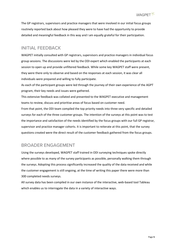The GP registrars, supervisors and practice managers that were involved in our initial focus groups routinely reported back about how pleased they were to have had the opportunity to provide detailed and meaningful feedback in this way and I am equally grateful for their participation.

### INITIAL FEEDBACK

WAGPET initially consulted with GP registrars, supervisors and practice managers in individual focus group sessions. The discussions were led by the ODI expert which enabled the participants at each session to open up and provide unfiltered feedback. While some key WAGPET staff were present, they were there only to observe and based on the responses at each session, it was clear all individuals were prepared and willing to fully participate.

As each of the participant groups were led through the journey of their own experience of the AGPT program, their key needs and issues were gathered.

This extensive feedback was collated and presented to the WAGPET executive and management teams to review, discuss and prioritise areas of focus based on customer need.

From that point, the ODI team compiled the top priority needs into three very specific and detailed surveys for each of the three customer groups. The intention of the surveys at this point was to test the importance and satisfaction of the needs identified by the focus groups with our full GP registrar, supervisor and practice manager cohorts. It is important to reiterate at this point, that the survey questions created were the direct result of the customer feedback gathered from the focus groups.

### BROADER ENGAGEMENT

Using the surveys developed, WAGPET staff trained in ODI surveying techniques spoke directly where possible to as many of the survey participants as possible, personally walking them through the surveys. Adopting this process significantly increased the quality of the data received and while the customer engagement is still ongoing, at the time of writing this paper there were more than 300 completed needs surveys.

All survey data has been compiled in our own instance of the interactive, web-based tool Tableau which enables us to interrogate the data in a variety of interactive ways.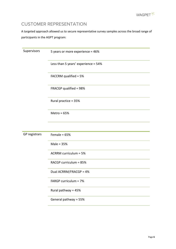### CUSTOMER REPRESENTATION

A targeted approach allowed us to secure representative survey samples across the broad range of participants in the AGPT program:

| Supervisors   | 5 years or more experience = 46%    |
|---------------|-------------------------------------|
|               | Less than 5 years' experience = 54% |
|               | FACCRM qualified = 5%               |
|               | FRACGP qualified = 98%              |
|               | Rural practice = 35%                |
|               | Metro = $65%$                       |
|               |                                     |
| GP registrars | Female = $65%$                      |
|               | Male = $35%$                        |
|               | <b>ACRRM curriculum = 5%</b>        |
|               | RACGP curriculum = 85%              |
|               | Dual ACRRM/FRACGP = 4%              |
|               | FARGP curriculum = 7%               |
|               | Rural pathway = 45%                 |
|               | General pathway = 55%               |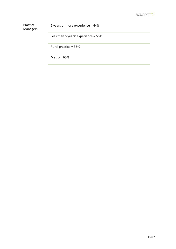

Practice Managers 5 years or more experience = 44%

Less than 5 years' experience = 56%

Rural practice = 35%

Metro = 65%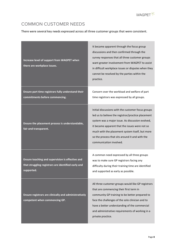### COMMON CUSTOMER NEEDS

There were several key needs expressed across all three customer groups that were consistent.

| Increase level of support from WAGPET when<br>there are workplace issues.                                             | It became apparent through the focus group<br>discussions and then confirmed through the<br>survey responses that all three customer groups<br>want greater involvement from WAGPET to assist<br>in difficult workplace issues or disputes when they<br>cannot be resolved by the parties within the<br>practice.                               |
|-----------------------------------------------------------------------------------------------------------------------|-------------------------------------------------------------------------------------------------------------------------------------------------------------------------------------------------------------------------------------------------------------------------------------------------------------------------------------------------|
| Ensure part time registrars fully understand their<br>commitments before commencing.                                  | Concern over the workload and welfare of part<br>time registrars was expressed by all groups.                                                                                                                                                                                                                                                   |
| Ensure the placement process is understandable,<br>fair and transparent.                                              | Initial discussions with the customer focus groups<br>led us to believe the registrar/practice placement<br>system was a major issue. As discussion evolved,<br>it became apparent that the issues were not so<br>much with the placement system itself, but more<br>so the process that sits around it and with the<br>communication involved. |
| Ensure teaching and supervision is effective and<br>that struggling registrars are identified early and<br>supported. | A common need expressed by all three groups<br>was to make sure GP registrars facing any<br>difficulty during their training time are identified<br>and supported as early as possible.                                                                                                                                                         |
| Ensure registrars are clinically and administratively<br>competent when commencing GP.                                | All three customer groups would like GP registrars<br>that are commencing their first term in<br>community GP training to be better prepared to<br>face the challenges of the solo clinician and to<br>have a better understanding of the commercial<br>and administrative requirements of working in a<br>private practice.                    |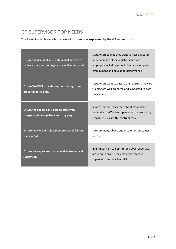### GP SUPERVISOR TOP NEEDS

The following table details the overall top needs as expressed by the GP supervisors.

| Ensure the personal and professional barriers of<br>registrars as new employees are well understood. | Supervisors told us they want to have a greater<br>understanding of the registrars they are<br>employing including more information on past<br>employment and education performance. |
|------------------------------------------------------------------------------------------------------|--------------------------------------------------------------------------------------------------------------------------------------------------------------------------------------|
| <b>Ensure WAGPET provides support for registrars</b><br>preparing for exams.                         | Supervisors want to ensure the registrars they are<br>training are well prepared and supported to pass<br>their exams.                                                               |
| Ensure the supervisor is able to effectively<br>recognise when registrars are struggling.            | Supervisors are concerned about maintaining<br>their skills as effective supervisors to ensure they<br>recognise issues with registrars early.                                       |
| Ensure the WAGPET placement process is fair and<br>transparent.                                      | See comments above under common customer<br>needs.                                                                                                                                   |
| Ensure the supervisor is an effective teacher and<br>supervisor.                                     | In a similar vein to point three above, supervisors<br>are keen to ensure they maintain effective<br>supervision and teaching skills.                                                |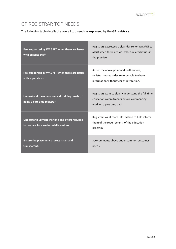

### GP REGISTRAR TOP NEEDS

the control of the control of the

The following table details the overall top needs as expressed by the GP registrars.

| Feel supported by WAGPET when there are issues<br>with practice staff.                    | Registrars expressed a clear desire for WAGPET to<br>assist when there are workplace-related issues in<br>the practice.              |
|-------------------------------------------------------------------------------------------|--------------------------------------------------------------------------------------------------------------------------------------|
| Feel supported by WAGPET when there are issues<br>with supervisors.                       | As per the above point and furthermore,<br>registrars noted a desire to be able to share<br>information without fear of retribution. |
| Understand the education and training needs of<br>being a part time registrar.            | Registrars want to clearly understand the full time<br>education commitments before commencing<br>work on a part time basis.         |
| Understand upfront the time and effort required<br>to prepare for case based discussions. | Registrars want more information to help inform<br>them of the requirements of the education<br>program.                             |
| Ensure the placement process is fair and<br>transparent.                                  | See comments above under common customer<br>needs.                                                                                   |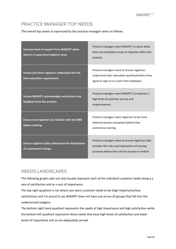### PRACTICE MANAGER TOP NEEDS

The overall top needs as expressed by the practice managers were as follows.

| Increase level of support from WAGPET when<br>there is a supervisor/registrar issue. | Practice managers want WAGPET to assist when<br>there are workplace issues or disputes within the<br>practice.                                         |
|--------------------------------------------------------------------------------------|--------------------------------------------------------------------------------------------------------------------------------------------------------|
| Ensure part time registrars understand the full<br>time education requirement.       | Practice managers want to ensure registrars<br>understand their education workload before they<br>agree to sign on as a part time employee.            |
| <b>Ensure WAGPET acknowledges and actions any</b><br>feedback from the practice.     | Practice managers want WAGPET to maintain a<br>high level of customer service and<br>responsiveness.                                                   |
| Ensure new registrars are familiar with the MBS<br>before starting.                  | Practice managers want registrars to be more<br>administratively competent before they<br>commence training.                                           |
| <b>Ensure registrars fully understand the implications</b><br>of a placement change. | Practice managers want to ensure registrars fully<br>consider the risks and implications of moving<br>practices before they set the process in motion. |

### NEEDS LANDSCAPES

The following graphs plot out and visually represent each of the individual customer needs along a y axis of satisfaction and an x axis of importance.

The top right quadrant is not where you want customer needs to be (high importance/low satisfaction) and I'm proud to say WAGPET does not have any across all groups that fall into this underserved category.

The bottom right hand quadrant represents the needs of high importance and high satisfaction while the bottom left quadrant represents those needs that have high levels of satisfaction and lower levels of importance and so are adequately served.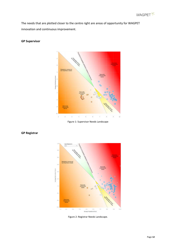

The needs that are plotted closer to the centre right are areas of opportunity for WAGPET innovation and continuous improvement.

#### **GP Supervisor**



Figure 1: Supervisor Needs Landscape



**GP Registrar**

Figure 2: Registrar Needs Landscape.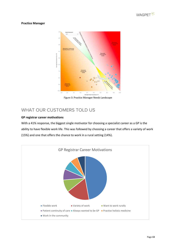

#### **Practice Manager**



Figure 3: Practice Manager Needs Landscape

### WHAT OUR CUSTOMERS TOLD US

#### **GP registrar career motivations**

With a 41% response, the biggest single motivator for choosing a specialist career as a GP is the ability to have flexible work life. This was followed by choosing a career that offers a variety of work (15%) and one that offers the chance to work in a rural setting (14%).

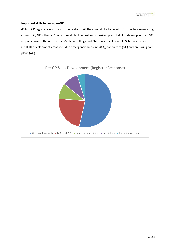

#### **Important skills to learn pre-GP**

45% of GP registrars said the most important skill they would like to develop further before entering community GP is their GP consulting skills. The next most desired pre-GP skill to develop with a 19% response was in the area of the Medicare Billings and Pharmaceutical Benefits Schemes. Other pre-GP skills development areas included emergency medicine (8%), paediatrics (8%) and preparing care plans (4%).

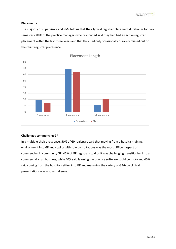

#### **Placements**

The majority of supervisors and PMs told us that their typical registrar placement duration is for two semesters. 88% of the practice managers who responded said they had had an active registrar placement within the last three years and that they had only occasionally or rarely missed out on their first registrar preference.



#### **Challenges commencing GP**

In a multiple choice response, 50% of GP registrars said that moving from a hospital training environment into GP and coping with solo consultations was the most difficult aspect of commencing in community GP. 46% of GP registrars told us it was challenging transitioning into a commercially run business, while 40% said learning the practice software could be tricky and 40% said coming from the hospital setting into GP and managing the variety of GP-type clinical presentations was also a challenge.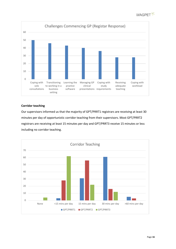



#### **Corridor teaching**

Our supervisors informed us that the majority of GPT/PRRT1 registrars are receiving at least 30 minutes per day of opportunistic corridor teaching from their supervisors. Most GPT/PRRT2 registrars are receiving at least 15 minutes per day and GPT/PRRT3 receive 15 minutes or less including no corridor teaching.

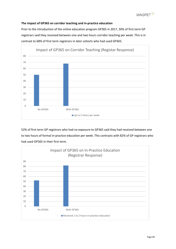#### **The impact of GP365 on corridor teaching and in-practice education**

Prior to the introduction of the online education program GP365 in 2017, 50% of first term GP registrars said they received between one and two hours corridor teaching per week. This is in contrast to 68% of first term registrars in later cohorts who had used GP365.



52% of first term GP registrars who had no exposure to GP365 said they had received between one to two hours of formal in-practice education per week. This contrasts with 82% of GP registrars who had used GP365 in their first term.

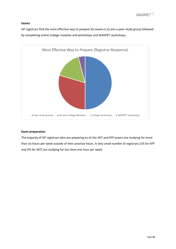

#### **Exams**

GP registrars find the most effective way to prepare for exams is to join a peer study group followed by completing online College modules and workshops and WAGPET workshops.



#### **Exam preparation**

The majority of GP registrars who are preparing to sit the AKT and KFP exams are studying for more than six hours per week outside of their practice hours. A very small number of registrars (1% for KFP and 3% for AKT) are studying for less than one hour per week.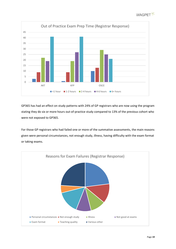



GP365 has had an effect on study patterns with 24% of GP registrars who are now using the program stating they do six or more hours out-of-practice study compared to 13% of the previous cohort who were not exposed to GP365.

For those GP registrars who had failed one or more of the summative assessments, the main reasons given were personal circumstances, not enough study, illness, having difficulty with the exam format or taking exams.

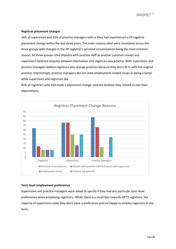

#### **Registrar placement changes**

16% of supervisors and 15% of practice managers told us they had experienced a GP registrar placement change within the last three years. The main reasons cited were consistent across the three groups with changes in the GP registrar's personal circumstances being the most common reason. All three groups cited disputes with practice staff as another common reason and supervisors believed disputes between themselves and registrars was a factor. Both supervisors and practice managers believe registrars also change practices because they don't fit in with the original practice. Interestingly, practice managers did not state employment related issues as being a factor while supervisors and registrars did.

85% of registrars who had made a placement change, said the location they moved to met their expectations.



#### **Term level employment preferences**

Supervisors and practice managers were asked to specify if they had any particular term level preferences when employing registrars. While there is a small bias towards GPT3 registrars, the majority of supervisors state they don't have a preference and are happy to employ registrars in any term.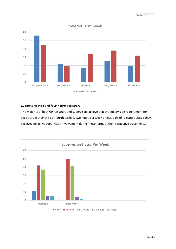



#### **Supervising third and fourth term registrars**

The majority of both GP registrars and supervisors believe that the supervision requirement for registrars in their third or fourth terms is two hours per week or less. 11% of registrars stated they received no active supervision involvement during these terms at their respective placements.

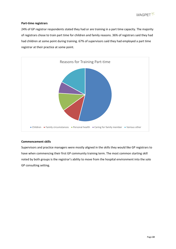

#### **Part-time registrars**

24% of GP registrar respondents stated they had or are training in a part time capacity. The majority of registrars chose to train part time for children and family reasons. 36% of registrars said they had had children at some point during training. 67% of supervisors said they had employed a part time registrar at their practice at some point.



#### **Commencement skills**

Supervisors and practice managers were mostly aligned in the skills they would like GP registrars to have when commencing their first GP community training term. The most common starting skill noted by both groups is the registrar's ability to move from the hospital environment into the solo GP consulting setting.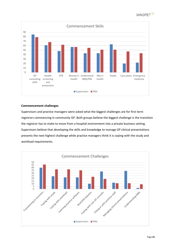



#### **Commencement challenges**

Supervisors and practice managers were asked what the biggest challenges are for first term registrars commencing in community GP. Both groups believe the biggest challenge is the transition the registrar has to make to move from a hospital environment into a private business setting. Supervisors believe that developing the skills and knowledge to manage GP clinical presentations presents the next highest challenge while practice managers think it is coping with the study and workload requirements.

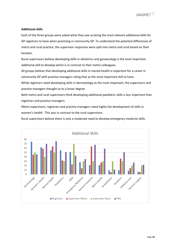

#### **Additional skills**

Each of the three groups were asked what they saw as being the most relevant additional skills for GP registrars to have when practising in community GP. To understand the potential differences of metro and rural practice, the supervisor responses were split into metro and rural based on their location.

Rural supervisors believe developing skills in obstetrics and gynaecology is the most important additional skill to develop which is in contrast to their metro colleagues.

All groups believe that developing additional skills in mental health is important for a career in community GP with practice managers rating that as the most important skill to have.

While registrars rated developing skills in dermatology as the most important, the supervisors and practice managers thought so to a lesser degree.

Both metro and rural supervisors think developing additional paediatric skills is less important than registrars and practice managers.

Metro supervisors, registrars and practice managers rated highly the development of skills in women's health. This was in contrast to the rural supervisors.

Rural supervisors believe there is only a moderate need to develop emergency medicine skills.

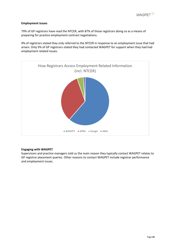

#### **Employment issues**

79% of GP registrars have read the NTCER, with 87% of those registrars doing so as a means of preparing for practice employment contract negotiations.

9% of registrars stated they only referred to the NTCER in response to an employment issue that had arisen. Only 9% of GP registrars stated they had contacted WAGPET for support when they had had employment related issues.



#### **Engaging with WAGPET**

Supervisors and practice managers told us the main reason they typically contact WAGPET relates to GP registrar placement queries. Other reasons to contact WAGPET include registrar performance and employment issues.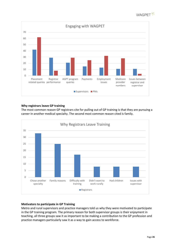



#### **Why registrars leave GP training**

The most common reason GP registrars cite for pulling out of GP training is that they are pursuing a career in another medical specialty. The second most common reason cited is family.



#### **Motivators to participate in GP Training**

Metro and rural supervisors and practice managers told us why they were motivated to participate in the GP training program. The primary reason for both supervisor groups is their enjoyment in teaching, all three groups saw it as important to be making a contribution to the GP profession and practice managers particularly saw it as a way to gain access to workforce.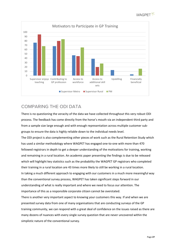



### COMPARING THE ODI DATA

There is no questioning the veracity of the data we have collected throughout this very robust ODI process. The feedback has come directly from the horse's mouth via an independent third party and from a sample size large enough and with enough representation across multiple customer subgroups to ensure the data is highly reliable down to the individual needs level.

The ODI project is also complementing other pieces of work such as the Rural Retention Study which has used a similar methodology where WAGPET has engaged one-to-one with more than 470 fellowed registrars in depth to get a deeper understanding of the motivations for training, working and remaining in a rural location. An academic paper presenting the findings is due to be released which will highlight key statistics such as the probability the WAGPET GP registrars who completed their training in a rural location are 43 times more likely to still be working in a rural location. In taking a much different approach to engaging with our customers in a much more meaningful way than the conventional survey process, WAGPET has taken significant steps forward in our understanding of what is really important and where we need to focus our attention. The importance of this as a responsible corporate citizen cannot be overstated.

There is another very important aspect to knowing your customers this way. If and when we are presented survey data from one of many organisations that are conducting surveys of the GP training community, we can respond with a great deal of confidence on the issues raised as there are many dozens of nuances with every single survey question that are never uncovered within the simplistic nature of the conventional survey.